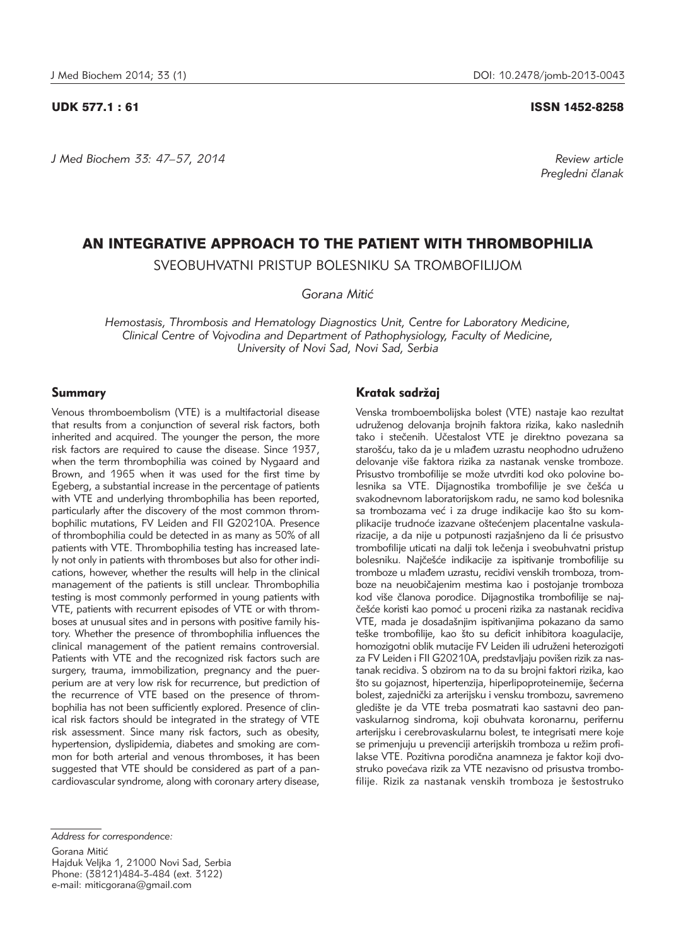*J Med Biochem 33: 47–57, 2014 Review article*

### UDK 577.1 : 61 ISSN 1452-8258

*Pregledni ~lanak*

# AN INTEGRATIVE APPROACH TO THE PATIENT WITH THROMBOPHILIA

SVEOBUHVATNI PRISTUP BOLESNIKU SA TROMBOFILIJOM

*Gorana Miti}*

*Hemostasis, Thrombosis and Hematology Diagnostics Unit, Centre for Laboratory Medicine, Clinical Centre of Vojvodina and Department of Pathophysiology, Faculty of Medicine, University of Novi Sad, Novi Sad, Serbia*

### Summary

Venous thromboembolism (VTE) is a multifactorial disease that results from a conjunction of several risk factors, both inherited and acquired. The younger the person, the more risk factors are required to cause the disease. Since 1937, when the term thrombophilia was coined by Nygaard and Brown, and 1965 when it was used for the first time by Egeberg, a substantial increase in the percentage of patients with VTE and underlying thrombophilia has been reported, particularly after the discovery of the most common thrombophilic mutations, FV Leiden and FII G20210A. Presence of thrombophilia could be detected in as many as 50% of all patients with VTE. Thrombophilia testing has increased lately not only in patients with thromboses but also for other indications, however, whether the results will help in the clinical management of the patients is still unclear. Thrombophilia testing is most commonly performed in young patients with VTE, patients with recurrent episodes of VTE or with thromboses at unusual sites and in persons with positive family history. Whether the presence of thrombophilia influences the clinical management of the patient remains controversial. Patients with VTE and the recognized risk factors such are surgery, trauma, immobilization, pregnancy and the puerperium are at very low risk for recurrence, but prediction of the recurrence of VTE based on the presence of thrombophilia has not been sufficiently explored. Presence of clinical risk factors should be integrated in the strategy of VTE risk assessment. Since many risk factors, such as obesity, hypertension, dyslipidemia, diabetes and smoking are common for both arterial and venous thromboses, it has been suggested that VTE should be considered as part of a pancardiovascular syndrome, along with coronary artery disease,

## Kratak sadržaj

Venska tromboembolijska bolest (VTE) nastaje kao rezultat udruženog delovanja brojnih faktora rizika, kako naslednih tako i stečenih. Učestalost VTE je direktno povezana sa starošću, tako da je u mlađem uzrastu neophodno udruženo delovanje više faktora rizika za nastanak venske tromboze. Prisustvo trombofilije se može utvrditi kod oko polovine bolesnika sa VTE. Dijagnostika trombofilije je sve češća u svakodnevnom laboratorijskom radu, ne samo kod bolesnika sa trombozama već i za druge indikacije kao što su komplikacije trudnoće izazvane oštećenjem placentalne vaskularizacije, a da nije u potpunosti razjašnjeno da li će prisustvo trombofilije uticati na dalji tok lečenja i sveobuhvatni pristup bolesniku. Najčešće indikacije za ispitivanje trombofilije su tromboze u mlađem uzrastu, recidivi venskih tromboza, tromboze na neuobičajenim mestima kao i postojanje tromboza kod više članova porodice. Dijagnostika trombofilije se najčešće koristi kao pomoć u proceni rizika za nastanak recidiva VTE, mada je dosadašnjim ispitivanjima pokazano da samo teške trombofilije, kao što su deficit inhibitora koagulacije, homozigotni oblik mutacije FV Leiden ili udruženi heterozigoti za FV Leiden i FII G20210A, predstavljaju povišen rizik za nastanak recidiva. S obzirom na to da su brojni faktori rizika, kao što su gojaznost, hipertenzija, hiperlipoproteinemije, šećerna bolest, zajednički za arterijsku i vensku trombozu, savremeno gledište je da VTE treba posmatrati kao sastavni deo panvaskularnog sindroma, koji obuhvata koronarnu, perifernu arterijsku i cerebrovaskularnu bolest, te integrisati mere koje se primenjuju u prevenciji arterijskih tromboza u režim profilakse VTE. Pozitivna porodična anamneza je faktor koji dvostruko povećava rizik za VTE nezavisno od prisustva trombofilije. Rizik za nastanak venskih tromboza je šestostruko

*Address for correspondence:*

Gorana Mitić Hajduk Veljka 1, 21000 Novi Sad, Serbia Phone: (38121)484-3-484 (ext. 3122) e-mail: miticgorana@gmail.com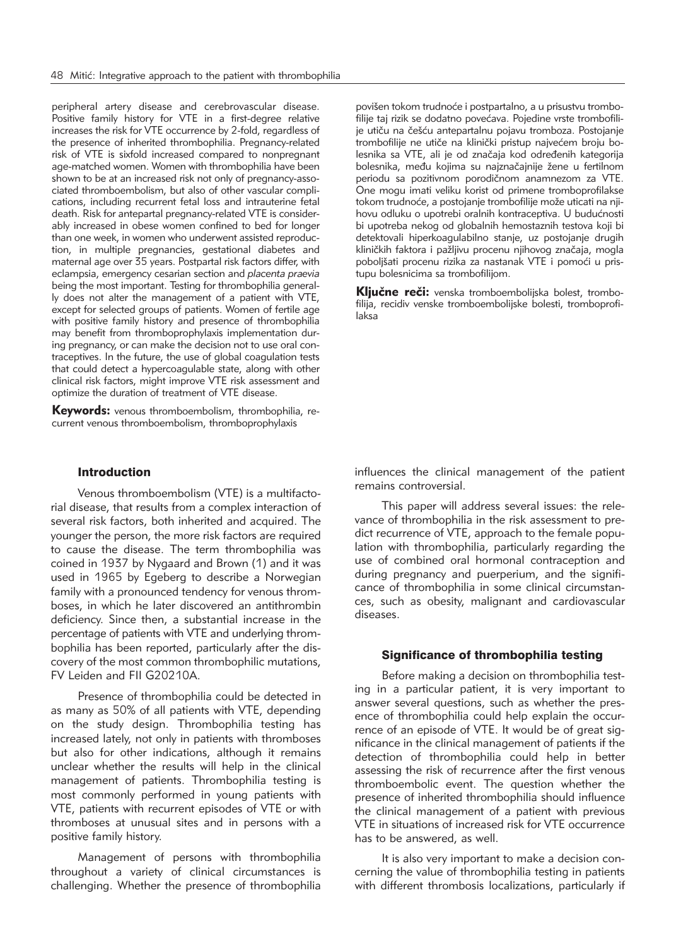peripheral artery disease and cerebrovascular disease. Positive family history for VTE in a first-degree relative increases the risk for VTE occurrence by 2-fold, regardless of the presence of inherited thrombophilia. Pregnancy-related risk of VTE is sixfold increased compared to nonpregnant age-matched women. Women with thrombophilia have been shown to be at an increased risk not only of pregnancy-associated thromboembolism, but also of other vascular complications, including recurrent fetal loss and intrauterine fetal death. Risk for antepartal pregnancy-related VTE is considerably increased in obese women confined to bed for longer than one week, in women who underwent assisted reproduction, in multiple pregnancies, gestational diabetes and maternal age over 35 years. Postpartal risk factors differ, with eclampsia, emergency cesarian section and *placenta praevia* being the most important. Testing for thrombophilia generally does not alter the management of a patient with VTE, except for selected groups of patients. Women of fertile age with positive family history and presence of thrombophilia may benefit from thromboprophylaxis implementation during pregnancy, or can make the decision not to use oral contraceptives. In the future, the use of global coagulation tests that could detect a hypercoagulable state, along with other clinical risk factors, might improve VTE risk assessment and optimize the duration of treatment of VTE disease.

Keywords: venous thromboembolism, thrombophilia, recurrent venous thromboembolism, thromboprophylaxis

# Introduction

Venous thromboembolism (VTE) is a multifactorial disease, that results from a complex interaction of several risk factors, both inherited and acquired. The younger the person, the more risk factors are required to cause the disease. The term thrombophilia was coined in 1937 by Nygaard and Brown (1) and it was used in 1965 by Egeberg to describe a Norwegian family with a pronounced tendency for venous thromboses, in which he later discovered an antithrombin deficiency. Since then, a substantial increase in the percentage of patients with VTE and underlying throm bophilia has been reported, particularly after the discovery of the most common thrombophilic mutations, FV Leiden and FII G20210A.

Presence of thrombophilia could be detected in as many as 50% of all patients with VTE, depending on the study design. Thrombophilia testing has increased lately, not only in patients with thromboses but also for other indications, although it remains unclear whether the results will help in the clinical management of patients. Thrombophilia testing is most commonly performed in young patients with VTE, patients with recurrent episodes of VTE or with thromboses at unusual sites and in persons with a positive family history.

Management of persons with thrombophilia throughout a variety of clinical circumstances is challenging. Whether the presence of thrombophilia povišen tokom trudnoće i postpartalno, a u prisustvu trombofilije taj rizik se dodatno povećava. Pojedine vrste trombofilije utiču na češću antepartalnu pojavu tromboza. Postojanje trombofilije ne utiče na klinički pristup najvećem broju bolesnika sa VTE, ali je od značaja kod određenih kategorija bolesnika, među kojima su najznačajnije žene u fertilnom periodu sa pozitivnom porodičnom anamnezom za VTE. One mogu imati veliku korist od primene tromboprofilakse tokom trudnoće, a postojanje trombofilije može uticati na njihovu odluku o upotrebi oralnih kontraceptiva. U budućnosti bi upotreba nekog od globalnih hemostaznih testova koji bi detektovali hiperkoagulabilno stanje, uz postojanje drugih kliničkih faktora i pažljivu procenu njihovog značaja, mogla poboljšati procenu rizika za nastanak VTE i pomoći u pristupu bolesnicima sa trombofilijom.

Ključne reči: venska tromboembolijska bolest, trombofilija, recidiv venske tromboembolijske bolesti, tromboprofilaksa

influences the clinical management of the patient remains controversial.

This paper will address several issues: the relevance of thrombophilia in the risk assessment to predict recurrence of VTE, approach to the female population with thrombophilia, particularly regarding the use of combined oral hormonal contraception and during pregnancy and puerperium, and the significance of thrombophilia in some clinical circumstances, such as obesity, malignant and cardiovascular diseases.

#### Significance of thrombophilia testing

Before making a decision on thrombophilia testing in a particular patient, it is very important to answer several questions, such as whether the presence of thrombophilia could help explain the occurrence of an episode of VTE. It would be of great significance in the clinical management of patients if the detection of thrombophilia could help in better assessing the risk of recurrence after the first venous thromboembolic event. The question whether the presence of inherited thrombophilia should influence the clinical management of a patient with previous VTE in situations of increased risk for VTE occurrence has to be answered, as well.

It is also very important to make a decision concerning the value of thrombophilia testing in patients with different thrombosis localizations, particularly if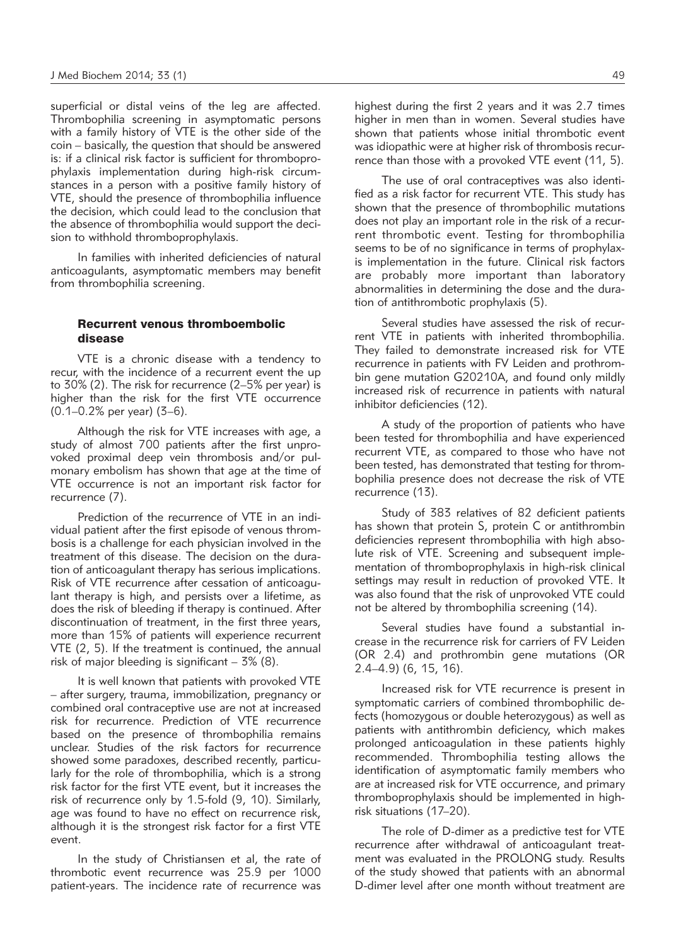superficial or distal veins of the leg are affected. Thrombophilia screening in asymptomatic persons with a family history of VTE is the other side of the coin – basically, the question that should be answered is: if a clinical risk factor is sufficient for thromboprophylaxis implementation during high-risk circumstances in a person with a positive family history of VTE, should the presence of thrombophilia influence the decision, which could lead to the conclusion that the absence of thrombophilia would support the decision to withhold thromboprophylaxis.

In families with inherited deficiencies of natural anticoagulants, asymptomatic members may benefit from thrombophilia screening.

## Recurrent venous thromboembolic disease

VTE is a chronic disease with a tendency to recur, with the incidence of a recurrent event the up to 30% (2). The risk for recurrence (2–5% per year) is higher than the risk for the first VTE occurrence (0.1–0.2% per year) (3–6).

Although the risk for VTE increases with age, a study of almost 700 patients after the first unprovoked proximal deep vein thrombosis and/or pulmonary embolism has shown that age at the time of VTE occurrence is not an important risk factor for recurrence (7).

Prediction of the recurrence of VTE in an individual patient after the first episode of venous thrombosis is a challenge for each physician involved in the treatment of this disease. The decision on the duration of anticoagulant therapy has serious implications. Risk of VTE recurrence after cessation of anticoagulant therapy is high, and persists over a lifetime, as does the risk of bleeding if therapy is continued. After discontinuation of treatment, in the first three years, more than 15% of patients will experience recurrent VTE (2, 5). If the treatment is continued, the annual risk of major bleeding is significant – 3% (8).

It is well known that patients with provoked VTE – after surgery, trauma, immobilization, pregnancy or combined oral contraceptive use are not at increased risk for recurrence. Prediction of VTE recurrence based on the presence of thrombophilia remains unclear. Studies of the risk factors for recurrence showed some paradoxes, described recently, particularly for the role of thrombophilia, which is a strong risk factor for the first VTE event, but it increases the risk of recurrence only by 1.5-fold (9, 10). Similarly, age was found to have no effect on recurrence risk, although it is the strongest risk factor for a first VTE event.

In the study of Christiansen et al, the rate of thrombotic event recurrence was 25.9 per 1000 patient-years. The incidence rate of recurrence was highest during the first 2 years and it was 2.7 times higher in men than in women. Several studies have shown that patients whose initial thrombotic event was idiopathic were at higher risk of thrombosis recurrence than those with a provoked VTE event (11, 5).

The use of oral contraceptives was also identified as a risk factor for recurrent VTE. This study has shown that the presence of thrombophilic mutations does not play an important role in the risk of a recurrent thrombotic event. Testing for thrombophilia seems to be of no significance in terms of prophylaxis implementation in the future. Clinical risk factors are probably more important than laboratory abnormalities in determining the dose and the duration of antithrombotic prophylaxis (5).

Several studies have assessed the risk of recurrent VTE in patients with inherited thrombophilia. They failed to demonstrate increased risk for VTE recurrence in patients with FV Leiden and prothrombin gene mutation G20210A, and found only mildly increased risk of recurrence in patients with natural inhibitor deficiencies (12).

A study of the proportion of patients who have been tested for thrombophilia and have experienced recurrent VTE, as compared to those who have not been tested, has demonstrated that testing for thrombophilia presence does not decrease the risk of VTE recurrence (13).

Study of 383 relatives of 82 deficient patients has shown that protein S, protein C or antithrombin deficiencies represent thrombophilia with high absolute risk of VTE. Screening and subsequent implementation of thromboprophylaxis in high-risk clinical settings may result in reduction of provoked VTE. It was also found that the risk of unprovoked VTE could not be altered by thrombophilia screening (14).

Several studies have found a substantial increase in the recurrence risk for carriers of FV Leiden (OR 2.4) and prothrombin gene mutations (OR 2.4–4.9) (6, 15, 16).

Increased risk for VTE recurrence is present in symptomatic carriers of combined thrombophilic defects (homozygous or double heterozygous) as well as patients with antithrombin deficiency, which makes prolonged anticoagulation in these patients highly recommended. Thrombophilia testing allows the identification of asymptomatic family members who are at increased risk for VTE occurrence, and primary thromboprophylaxis should be implemented in highrisk situations (17–20).

The role of D-dimer as a predictive test for VTE recurrence after withdrawal of anticoagulant treatment was evaluated in the PROLONG study. Results of the study showed that patients with an abnormal D-dimer level after one month without treatment are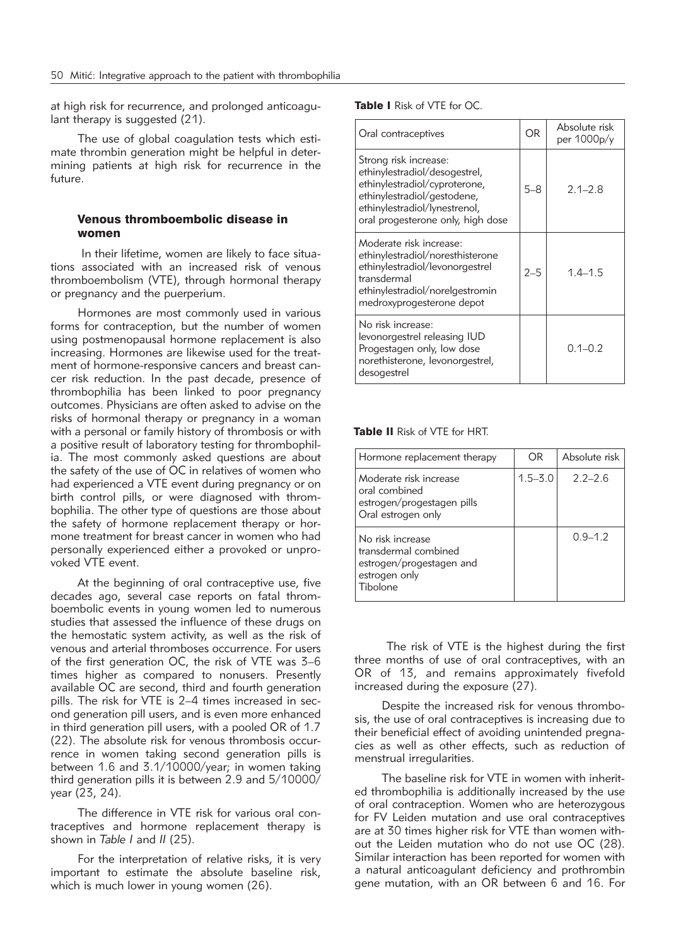at high risk for recurrence, and prolonged anticoagulant therapy is suggested (21).

The use of global coagulation tests which estimate thrombin generation might be helpful in determining patients at high risk for recurrence in the future.

# Venous thromboembolic disease in women

In their lifetime, women are likely to face situations associated with an increased risk of venous thromboembolism (VTE), through hormonal therapy or pregnancy and the puerperium.

Hormones are most commonly used in various forms for contraception, but the number of women using postmenopausal hormone replacement is also increasing. Hormones are likewise used for the treatment of hormone-responsive cancers and breast cancer risk reduction. In the past decade, presence of thrombophilia has been linked to poor pregnancy outcomes. Physicians are often asked to advise on the risks of hormonal therapy or pregnancy in a woman with a personal or family history of thrombosis or with a positive result of laboratory testing for thrombophilia. The most commonly asked questions are about the safety of the use of OC in relatives of women who had experienced a VTE event during pregnancy or on birth control pills, or were diagnosed with thrombophilia. The other type of questions are those about the safety of hormone replacement therapy or hormone treatment for breast cancer in women who had personally experienced either a provoked or unprovoked VTE event.

At the beginning of oral contraceptive use, five decades ago, several case reports on fatal thromboembolic events in young women led to numerous studies that assessed the influence of these drugs on the hemostatic system activity, as well as the risk of venous and arterial thromboses occurrence. For users of the first generation OC, the risk of VTE was 3–6 times higher as compared to nonusers. Presently available OC are second, third and fourth generation pills. The risk for VTE is 2–4 times increased in second generation pill users, and is even more enhanced in third generation pill users, with a pooled OR of 1.7 (22). The absolute risk for venous thrombosis occurrence in women taking second generation pills is between 1.6 and 3.1/10000/year; in women taking third generation pills it is between 2.9 and 5/10000/ year (23, 24).

The difference in VTE risk for various oral contraceptives and hormone replacement therapy is shown in *Table I* and *II* (25).

For the interpretation of relative risks, it is very important to estimate the absolute baseline risk, which is much lower in young women (26).

# Table I Risk of VTE for OC.

| Oral contraceptives                                                                                                                                                                          | ΟR      | Absolute risk<br>per 1000p/y |
|----------------------------------------------------------------------------------------------------------------------------------------------------------------------------------------------|---------|------------------------------|
| Strong risk increase:<br>ethinylestradiol/desogestrel,<br>ethinylestradiol/cyproterone,<br>ethinylestradiol/gestodene,<br>ethinylestradiol/lynestrenol,<br>oral progesterone only, high dose | $5 - 8$ | $2.1 - 2.8$                  |
| Moderate risk increase:<br>ethinylestradiol/noresthisterone<br>ethinylestradiol/levonorgestrel<br>transdermal<br>ethinylestradiol/norelgestromin<br>medroxyprogesterone depot                | $2 - 5$ | $1.4 - 1.5$                  |
| No risk increase:<br>levonorgestrel releasing IUD<br>Progestagen only, low dose<br>norethisterone, levonorgestrel,<br>desogestrel                                                            |         | $0.1 - 0.2$                  |

#### Table II Risk of VTE for HRT.

| Hormone replacement therapy                                                                       | OR          | Absolute risk |
|---------------------------------------------------------------------------------------------------|-------------|---------------|
| Moderate risk increase<br>oral combined<br>estrogen/progestagen pills<br>Oral estrogen only       | $1.5 - 3.0$ | $2.2 - 2.6$   |
| No risk increase<br>transdermal combined<br>estrogen/progestagen and<br>estrogen only<br>Tibolone |             | $0.9 - 1.2$   |

The risk of VTE is the highest during the first three months of use of oral contraceptives, with an OR of 13, and remains approximately fivefold increased during the exposure (27).

Despite the increased risk for venous thrombosis, the use of oral contraceptives is increasing due to their beneficial effect of avoiding unintended pregnacies as well as other effects, such as reduction of menstrual irregularities.

The baseline risk for VTE in women with inherited thrombophilia is additionally increased by the use of oral contraception. Women who are heterozygous for FV Leiden mutation and use oral contraceptives are at 30 times higher risk for VTE than women without the Leiden mutation who do not use OC (28). Similar interaction has been reported for women with a natural anticoagulant deficiency and prothrombin gene mutation, with an OR between 6 and 16. For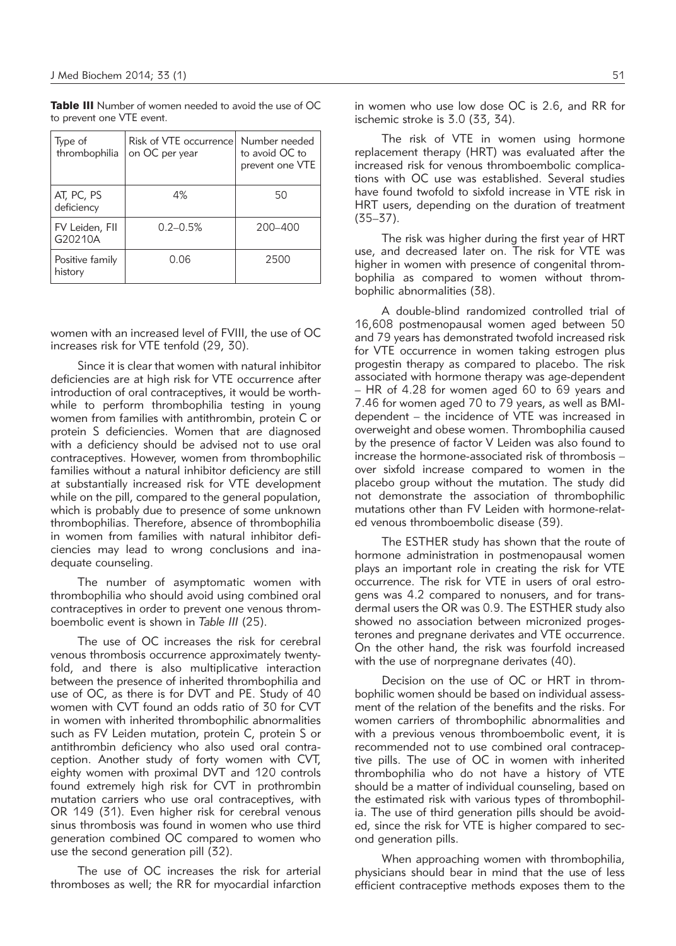Table III Number of women needed to avoid the use of OC to prevent one VTE event.

| Type of<br>thrombophilia   | Risk of VTE occurrence<br>on OC per year | Number needed<br>to avoid OC to<br>prevent one VTE |
|----------------------------|------------------------------------------|----------------------------------------------------|
| AT, PC, PS<br>deficiency   | 4%                                       | 50                                                 |
| FV Leiden, FII<br>G20210A  | $0.2 - 0.5%$                             | 200-400                                            |
| Positive family<br>history | 0.06                                     | 2500                                               |

women with an increased level of FVIII, the use of OC increases risk for VTE tenfold (29, 30).

Since it is clear that women with natural inhibitor deficiencies are at high risk for VTE occurrence after introduction of oral contraceptives, it would be worthwhile to perform thrombophilia testing in young women from families with antithrombin, protein C or protein S deficiencies. Women that are diagnosed with a deficiency should be advised not to use oral contraceptives. However, women from thrombophilic families without a natural inhibitor deficiency are still at substantially increased risk for VTE development while on the pill, compared to the general population, which is probably due to presence of some unknown thrombophilias. Therefore, absence of thrombophilia in women from families with natural inhibitor deficiencies may lead to wrong conclusions and inadequate counseling.

The number of asymptomatic women with thrombophilia who should avoid using combined oral contraceptives in order to prevent one venous thromboembolic event is shown in *Table III* (25).

The use of OC increases the risk for cerebral venous thrombosis occurrence approximately twentyfold, and there is also multiplicative interaction between the presence of inherited thrombophilia and use of OC, as there is for DVT and PE. Study of 40 women with CVT found an odds ratio of 30 for CVT in women with inherited thrombophilic abnormalities such as FV Leiden mutation, protein C, protein S or antithrombin deficiency who also used oral contraception. Another study of forty women with CVT, eighty women with proximal DVT and 120 controls found extremely high risk for CVT in prothrombin mutation carriers who use oral contraceptives, with OR 149 (31). Even higher risk for cerebral venous sinus thrombosis was found in women who use third generation combined OC compared to women who use the second generation pill (32).

The use of OC increases the risk for arterial thromboses as well; the RR for myocardial infarction in women who use low dose OC is 2.6, and RR for ischemic stroke is 3.0 (33, 34).

The risk of VTE in women using hormone replacement therapy (HRT) was evaluated after the increased risk for venous thromboembolic complications with OC use was established. Several studies have found twofold to sixfold increase in VTE risk in HRT users, depending on the duration of treatment (35–37).

The risk was higher during the first year of HRT use, and decreased later on. The risk for VTE was higher in women with presence of congenital thrombophilia as compared to women without thrombophilic abnormalities (38).

A double-blind randomized controlled trial of 16,608 postmenopausal women aged between 50 and 79 years has demonstrated twofold increased risk for VTE occurrence in women taking estrogen plus progestin therapy as compared to placebo. The risk associated with hormone therapy was age-dependent – HR of 4.28 for women aged 60 to 69 years and 7.46 for women aged 70 to 79 years, as well as BMIdependent – the incidence of VTE was increased in overweight and obese women. Thrombophilia caused by the presence of factor V Leiden was also found to increase the hormone-associated risk of thrombosis – over sixfold increase compared to women in the placebo group without the mutation. The study did not demonstrate the association of thrombophilic mutations other than FV Leiden with hormone-related venous thromboembolic disease (39).

The ESTHER study has shown that the route of hormone administration in postmenopausal women plays an important role in creating the risk for VTE occurrence. The risk for VTE in users of oral estrogens was 4.2 compared to nonusers, and for transdermal users the OR was 0.9. The ESTHER study also showed no association between micronized progesterones and pregnane derivates and VTE occurrence. On the other hand, the risk was fourfold increased with the use of norpregnane derivates (40).

Decision on the use of OC or HRT in thrombophilic women should be based on individual assessment of the relation of the benefits and the risks. For women carriers of thrombophilic abnormalities and with a previous venous thromboembolic event, it is recommended not to use combined oral contraceptive pills. The use of OC in women with inherited thrombophilia who do not have a history of VTE should be a matter of individual counseling, based on the estimated risk with various types of thrombophilia. The use of third generation pills should be avoided, since the risk for VTE is higher compared to second generation pills.

When approaching women with thrombophilia, physicians should bear in mind that the use of less efficient contraceptive methods exposes them to the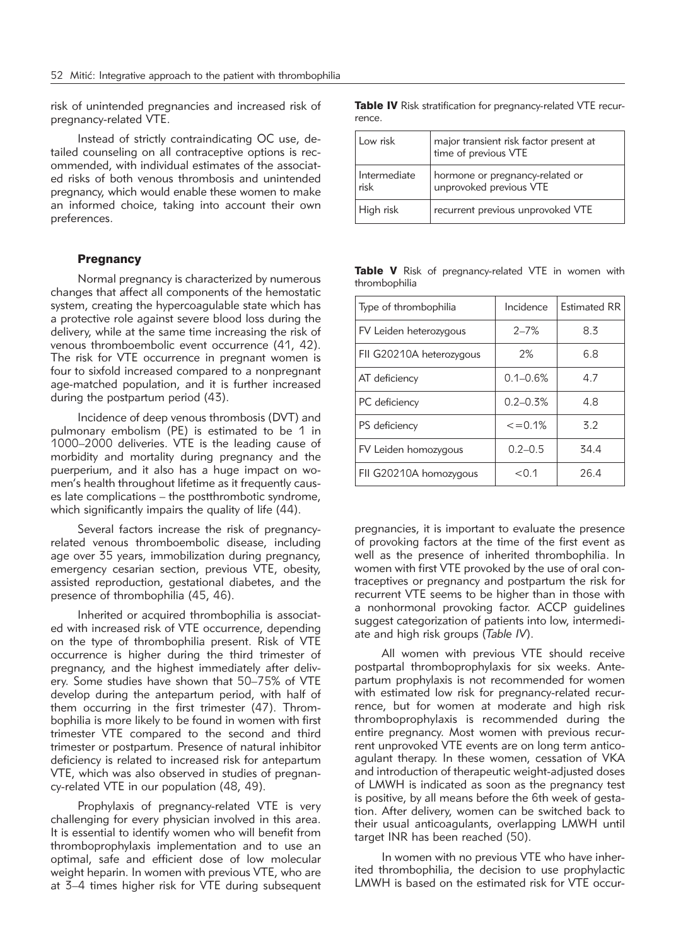risk of unintended pregnancies and increased risk of pregnancy-related VTE.

Instead of strictly contraindicating OC use, detailed counseling on all contraceptive options is recommended, with individual estimates of the associated risks of both venous thrombosis and unintended pregnancy, which would enable these women to make an informed choice, taking into account their own preferences.

#### **Pregnancy**

Normal pregnancy is characterized by numerous changes that affect all components of the hemostatic system, creating the hypercoagulable state which has a protective role against severe blood loss during the delivery, while at the same time increasing the risk of venous thromboembolic event occurrence (41, 42). The risk for VTE occurrence in pregnant women is four to sixfold increased compared to a nonpregnant age-matched population, and it is further increased during the postpartum period (43).

Incidence of deep venous thrombosis (DVT) and pulmonary embolism (PE) is estimated to be 1 in 1000–2000 deliveries. VTE is the leading cause of morbidity and mortality during pregnancy and the puerperium, and it also has a huge impact on women's health throughout lifetime as it frequently causes late complications – the postthrombotic syndrome, which significantly impairs the quality of life (44).

Several factors increase the risk of pregnancyrelated venous thromboembolic disease, including age over 35 years, immobilization during pregnancy, emergency cesarian section, previous VTE, obesity, assisted reproduction, gestational diabetes, and the presence of thrombophilia (45, 46).

Inherited or acquired thrombophilia is associated with increased risk of VTE occurrence, depending on the type of thrombophilia present. Risk of VTE occurrence is higher during the third trimester of pregnancy, and the highest immediately after delivery. Some studies have shown that 50–75% of VTE develop during the antepartum period, with half of them occurring in the first trimester (47). Thrombophilia is more likely to be found in women with first trimester VTE compared to the second and third trimester or postpartum. Presence of natural inhibitor deficiency is related to increased risk for antepartum VTE, which was also observed in studies of pregnancy-related VTE in our population (48, 49).

Prophylaxis of pregnancy-related VTE is very challenging for every physician involved in this area. It is essential to identify women who will benefit from thromboprophylaxis implementation and to use an optimal, safe and efficient dose of low molecular weight heparin. In women with previous VTE, who are at 3–4 times higher risk for VTE during subsequent

Table IV Risk stratification for pregnancy-related VTE recurrence.

| Low risk             | major transient risk factor present at<br>time of previous VTE |
|----------------------|----------------------------------------------------------------|
| Intermediate<br>risk | hormone or pregnancy-related or<br>unprovoked previous VTE     |
| High risk            | recurrent previous unprovoked VTE                              |

Table V Risk of pregnancy-related VTE in women with thrombophilia

| Type of thrombophilia    | Incidence     | <b>Estimated RR</b> |
|--------------------------|---------------|---------------------|
| FV Leiden heterozygous   | $2 - 7%$      | 83                  |
| FII G20210A heterozygous | 2%            | 6.8                 |
| AT deficiency            | $0.1 - 0.6%$  | 4.7                 |
| PC deficiency            | $0.2 - 0.3%$  | 4.8                 |
| PS deficiency            | $\leq$ = 0.1% | 3.2                 |
| FV Leiden homozygous     | $0.2 - 0.5$   | 34.4                |
| FII G20210A homozygous   | < 0.1         | 26.4                |

pregnancies, it is important to evaluate the presence of provoking factors at the time of the first event as well as the presence of inherited thrombophilia. In women with first VTE provoked by the use of oral contraceptives or pregnancy and postpartum the risk for recurrent VTE seems to be higher than in those with a nonhormonal provoking factor. ACCP guidelines suggest categorization of patients into low, intermediate and high risk groups (*Table IV*).

All women with previous VTE should receive postpartal thromboprophylaxis for six weeks. Antepartum prophylaxis is not recommended for women with estimated low risk for pregnancy-related recurrence, but for women at moderate and high risk thromboprophylaxis is recommended during the entire pregnancy. Most women with previous recurrent unprovoked VTE events are on long term anticoagulant therapy. In these women, cessation of VKA and introduction of therapeutic weight-adjusted doses of LMWH is indicated as soon as the pregnancy test is positive, by all means before the 6th week of gestation. After delivery, women can be switched back to their usual anticoagulants, overlapping LMWH until target INR has been reached (50).

In women with no previous VTE who have inherited thrombophilia, the decision to use prophylactic LMWH is based on the estimated risk for VTE occur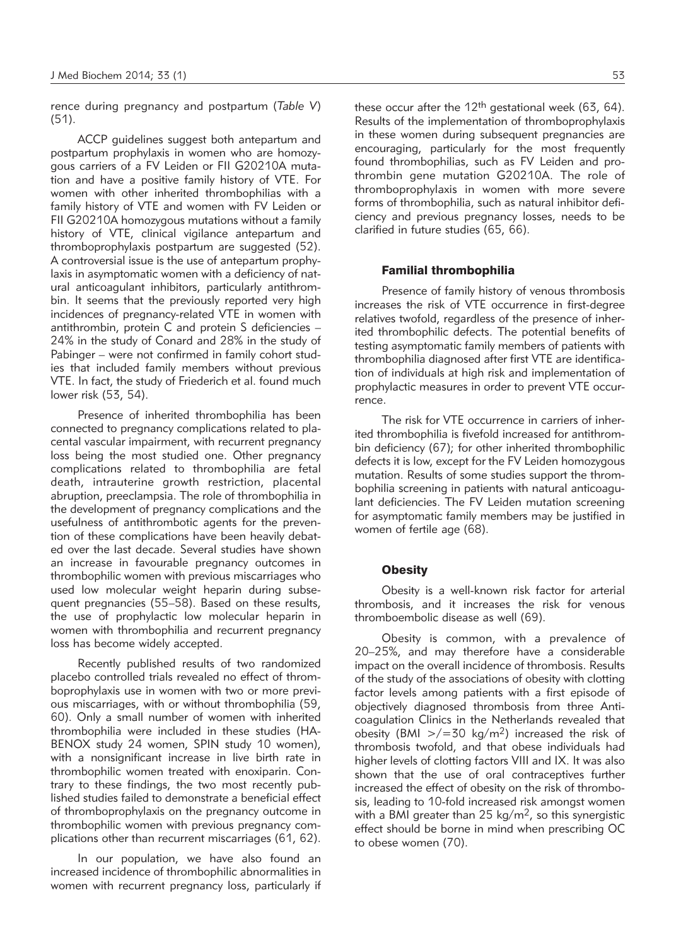rence during pregnancy and postpartum (*Table V*) (51).

ACCP guidelines suggest both antepartum and postpartum prophylaxis in women who are homozygous carriers of a FV Leiden or FII G20210A mutation and have a positive family history of VTE. For women with other inherited thrombophilias with a family history of VTE and women with FV Leiden or FII G20210A homozygous mutations without a family history of VTE, clinical vigilance antepartum and thromboprophylaxis postpartum are suggested (52). A controversial issue is the use of antepartum prophylaxis in asymptomatic women with a deficiency of natural anticoagulant inhibitors, particularly antithrombin. It seems that the previously reported very high incidences of pregnancy-related VTE in women with antithrombin, protein C and protein S deficiencies – 24% in the study of Conard and 28% in the study of Pabinger – were not confirmed in family cohort studies that included family members without previous VTE. In fact, the study of Friederich et al. found much lower risk (53, 54).

Presence of inherited thrombophilia has been connected to pregnancy complications related to placental vascular impairment, with recurrent pregnancy loss being the most studied one. Other pregnancy complications related to thrombophilia are fetal death, intrauterine growth restriction, placental abruption, preeclampsia. The role of thrombophilia in the development of pregnancy complications and the usefulness of antithrombotic agents for the prevention of these complications have been heavily debated over the last decade. Several studies have shown an increase in favourable pregnancy outcomes in thrombophilic women with previous miscarriages who used low molecular weight heparin during subsequent pregnancies (55–58). Based on these results, the use of prophylactic low molecular heparin in women with thrombophilia and recurrent pregnancy loss has become widely accepted.

Recently published results of two randomized placebo controlled trials revealed no effect of thromboprophylaxis use in women with two or more previous miscarriages, with or without thrombophilia (59, 60). Only a small number of women with inherited thrombophilia were included in these studies (HA-BENOX study 24 women, SPIN study 10 women), with a nonsignificant increase in live birth rate in thrombophilic women treated with enoxiparin. Contrary to these findings, the two most recently published studies failed to demonstrate a beneficial effect of thromboprophylaxis on the pregnancy outcome in thrombophilic women with previous pregnancy complications other than recurrent miscarriages (61, 62).

In our population, we have also found an increased incidence of thrombophilic abnormalities in women with recurrent pregnancy loss, particularly if these occur after the  $12<sup>th</sup>$  gestational week (63, 64). Results of the implementation of thromboprophylaxis in these women during subsequent pregnancies are encouraging, particularly for the most frequently found thrombophilias, such as FV Leiden and prothrombin gene mutation G20210A. The role of throm bopro phylaxis in women with more severe forms of thrombophilia, such as natural inhibitor deficiency and previous pregnancy losses, needs to be clarified in future studies (65, 66).

#### Familial thrombophilia

Presence of family history of venous thrombosis increases the risk of VTE occurrence in first-degree relatives twofold, regardless of the presence of inherited thrombophilic defects. The potential benefits of testing asymptomatic family members of patients with thrombophilia diagnosed after first VTE are identification of individuals at high risk and implementation of prophylactic measures in order to prevent VTE occurrence.

The risk for VTE occurrence in carriers of inherited thrombophilia is fivefold increased for antithrombin deficiency (67); for other inherited thrombophilic defects it is low, except for the FV Leiden homozygous mutation. Results of some studies support the thrombophilia screening in patients with natural anticoagulant deficiencies. The FV Leiden mutation screening for asymptomatic family members may be justified in women of fertile age (68).

#### **Obesity**

Obesity is a well-known risk factor for arterial thrombosis, and it increases the risk for venous thromboembolic disease as well (69).

Obesity is common, with a prevalence of 20–25%, and may therefore have a considerable impact on the overall incidence of thrombosis. Results of the study of the associations of obesity with clotting factor levels among patients with a first episode of objectively diagnosed thrombosis from three Anticoagulation Clinics in the Netherlands revealed that obesity (BMI  $\ge$ /=30 kg/m<sup>2</sup>) increased the risk of thrombosis twofold, and that obese individuals had higher levels of clotting factors VIII and IX. It was also shown that the use of oral contraceptives further increased the effect of obesity on the risk of thrombosis, leading to 10-fold increased risk amongst women with a BMI greater than  $25 \text{ kg/m}^2$ , so this synergistic effect should be borne in mind when prescribing OC to obese women (70).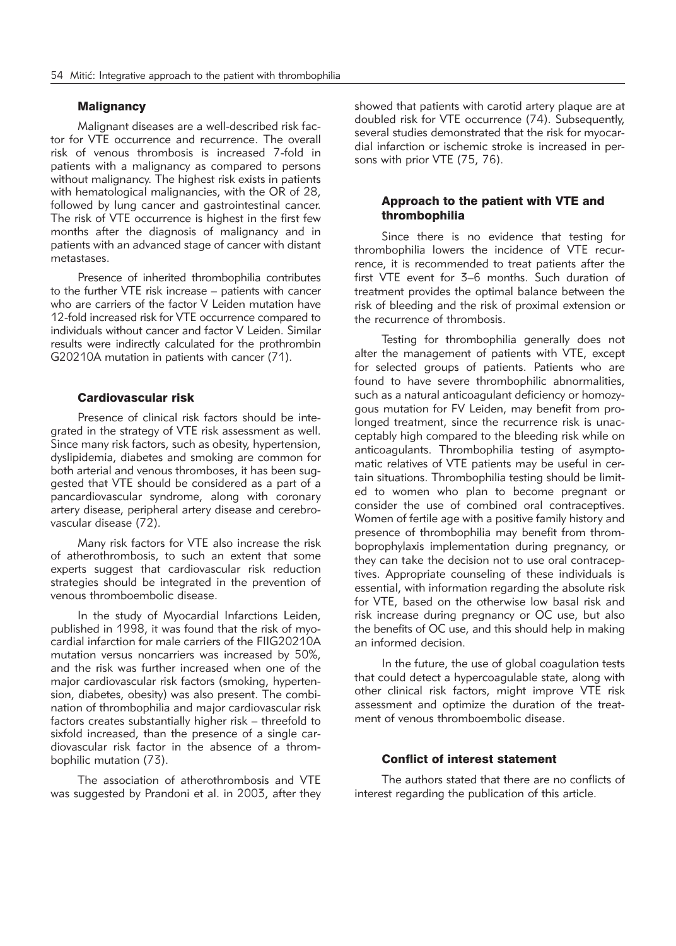# **Malignancy**

Malignant diseases are a well-described risk factor for VTE occurrence and recurrence. The overall risk of venous thrombosis is increased 7-fold in patients with a malignancy as compared to persons without malignancy. The highest risk exists in patients with hematological malignancies, with the OR of 28, followed by lung cancer and gastrointestinal cancer. The risk of VTE occurrence is highest in the first few months after the diagnosis of malignancy and in patients with an advanced stage of cancer with distant metastases.

Presence of inherited thrombophilia contributes to the further VTE risk increase – patients with cancer who are carriers of the factor V Leiden mutation have 12-fold increased risk for VTE occurrence compared to individuals without cancer and factor V Leiden. Similar results were indirectly calculated for the prothrombin G20210A mutation in patients with cancer (71).

# Cardiovascular risk

Presence of clinical risk factors should be integrated in the strategy of VTE risk assessment as well. Since many risk factors, such as obesity, hypertension, dyslipidemia, diabetes and smoking are common for both arterial and venous thromboses, it has been suggested that VTE should be considered as a part of a pancardiovascular syndrome, along with coronary artery disease, peripheral artery disease and cerebrovascular disease (72).

Many risk factors for VTE also increase the risk of atherothrombosis, to such an extent that some experts suggest that cardiovascular risk reduction strategies should be integrated in the prevention of venous thromboembolic disease.

In the study of Myocardial Infarctions Leiden, published in 1998, it was found that the risk of myocardial infarction for male carriers of the FIIG20210A mutation versus noncarriers was increased by 50%, and the risk was further increased when one of the major cardiovascular risk factors (smoking, hypertension, diabetes, obesity) was also present. The combination of thrombophilia and major cardiovascular risk factors creates substantially higher risk – threefold to sixfold increased, than the presence of a single cardiovascular risk factor in the absence of a thrombophilic mutation (73).

The association of atherothrombosis and VTE was suggested by Prandoni et al. in 2003, after they showed that patients with carotid artery plaque are at doubled risk for VTE occurrence (74). Subsequently, several studies demonstrated that the risk for myocardial infarction or ischemic stroke is increased in persons with prior VTE (75, 76).

# Approach to the patient with VTE and thrombophilia

Since there is no evidence that testing for thrombophilia lowers the incidence of VTE recurrence, it is recommended to treat patients after the first VTE event for 3–6 months. Such duration of treatment provides the optimal balance between the risk of bleeding and the risk of proximal extension or the recurrence of thrombosis.

Testing for thrombophilia generally does not alter the management of patients with VTE, except for selected groups of patients. Patients who are found to have severe thrombophilic abnormalities, such as a natural anticoagulant deficiency or homozygous mutation for FV Leiden, may benefit from prolonged treatment, since the recurrence risk is unacceptably high compared to the bleeding risk while on anticoagulants. Thrombophilia testing of asymptomatic relatives of VTE patients may be useful in certain situations. Thrombophilia testing should be limited to women who plan to become pregnant or consider the use of combined oral contraceptives. Women of fertile age with a positive family history and presence of thrombophilia may benefit from thromboprophylaxis implementation during pregnancy, or they can take the decision not to use oral contraceptives. Appropriate counseling of these individuals is essential, with information regarding the absolute risk for VTE, based on the otherwise low basal risk and risk in crease during pregnancy or OC use, but also the benefits of OC use, and this should help in making an informed decision.

In the future, the use of global coagulation tests that could detect a hypercoagulable state, along with other clinical risk factors, might improve VTE risk assessment and optimize the duration of the treatment of venous thromboembolic disease.

# Conflict of interest statement

The authors stated that there are no conflicts of interest regarding the publication of this article.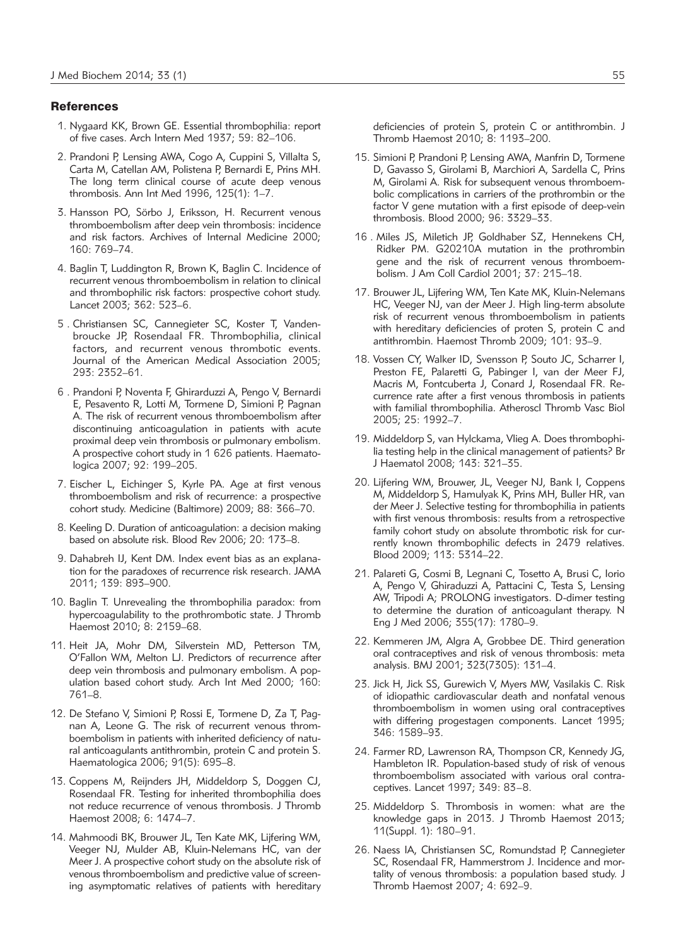#### **References**

- 1. Nygaard KK, Brown GE. Essential thrombophilia: report of five cases. Arch Intern Med 1937; 59: 82–106.
- 2. Prandoni P, Lensing AWA, Cogo A, Cuppini S, Villalta S, Carta M, Catellan AM, Polistena P, Bernardi E, Prins MH. The long term clinical course of acute deep venous thrombosis. Ann Int Med 1996, 125(1): 1–7.
- 3. Hansson PO, Sörbo J, Eriksson, H. Recurrent venous thromboembolism after deep vein thrombosis: incidence and risk factors. Archives of Internal Medicine 2000; 160: 769–74.
- 4. Baglin T, Luddington R, Brown K, Baglin C. Incidence of recurrent venous thromboembolism in relation to clinical and thrombophilic risk factors: prospective cohort study. Lancet 2003; 362: 523–6.
- 5 . Christiansen SC, Cannegieter SC, Koster T, Vanden broucke JP, Rosendaal FR. Thrombophilia, clinical factors, and recurrent venous thrombotic events. Journal of the American Medical Association 2005; 293: 2352–61.
- 6 . Prandoni P, Noventa F, Ghirarduzzi A, Pengo V, Bernardi E, Pesavento R, Lotti M, Tormene D, Simioni P, Pagnan A. The risk of recurrent venous thromboembolism after discontinuing anticoagulation in patients with acute proximal deep vein thrombosis or pulmonary embolism. A prospective cohort study in 1 626 patients. Haematologica 2007; 92: 199–205.
- 7. Eischer L, Eichinger S, Kyrle PA. Age at first venous thromboembolism and risk of recurrence: a prospective cohort study. Medicine (Baltimore) 2009; 88: 366–70.
- 8. Keeling D. Duration of anticoagulation: a decision making based on absolute risk. Blood Rev 2006; 20: 173–8.
- 9. Dahabreh IJ, Kent DM. Index event bias as an explanation for the paradoxes of recurrence risk research. JAMA 2011; 139: 893–900.
- 10. Baglin T. Unrevealing the thrombophilia paradox: from hypercoagulability to the prothrombotic state. J Thromb Haemost 2010; 8: 2159–68.
- 11. Heit JA, Mohr DM, Silverstein MD, Petterson TM, O'Fallon WM, Melton LJ. Predictors of recurrence after deep vein thrombosis and pulmonary embolism. A population based cohort study. Arch Int Med 2000; 160: 761–8.
- 12. De Stefano V, Simioni P, Rossi E, Tormene D, Za T, Pagnan A, Leone G. The risk of recurrent venous thromboembolism in patients with inherited deficiency of natural anticoagulants antithrombin, protein C and protein S. Haematologica 2006; 91(5): 695–8.
- 13. Coppens M, Reijnders JH, Middeldorp S, Doggen CJ, Rosendaal FR. Testing for inherited thrombophilia does not reduce recurrence of venous thrombosis. J Thromb Haemost 2008; 6: 1474–7.
- 14. Mahmoodi BK, Brouwer JL, Ten Kate MK, Lijfering WM, Veeger NJ, Mulder AB, Kluin-Nelemans HC, van der Meer J. A prospective cohort study on the absolute risk of venous thromboembolism and predictive value of screening asymptomatic relatives of patients with hereditary

deficiencies of protein S, protein C or antithrombin. J Thromb Haemost 2010; 8: 1193–200.

- 15. Simioni P, Prandoni P, Lensing AWA, Manfrin D, Tormene D, Gavasso S, Girolami B, Marchiori A, Sardella C, Prins M, Girolami A. Risk for subsequent venous thromboembolic complications in carriers of the prothrombin or the factor V gene mutation with a first episode of deep-vein thrombosis. Blood 2000; 96: 3329–33.
- 16 . Miles JS, Miletich JP, Goldhaber SZ, Hennekens CH, Ridker PM. G20210A mutation in the prothrombin gene and the risk of recurrent venous thromboembolism. J Am Coll Cardiol 2001; 37: 215–18.
- 17. Brouwer JL, Lijfering WM, Ten Kate MK, Kluin-Nelemans HC, Veeger NJ, van der Meer J. High ling-term absolute risk of recurrent venous thromboembolism in patients with hereditary deficiencies of proten S, protein C and antithrombin. Haemost Thromb 2009; 101: 93–9.
- 18. Vossen CY, Walker ID, Svensson P, Souto JC, Scharrer I, Preston FE, Palaretti G, Pabinger I, van der Meer FJ, Macris M, Fontcuberta J, Conard J, Rosendaal FR. Recurrence rate after a first venous thrombosis in patients with familial thrombophilia. Atheroscl Thromb Vasc Biol 2005; 25: 1992–7.
- 19. Middeldorp S, van Hylckama, Vlieg A. Does thrombophilia testing help in the clinical management of patients? Br J Haematol 2008; 143: 321–35.
- 20. Lijfering WM, Brouwer, JL, Veeger NJ, Bank I, Coppens M, Middeldorp S, Hamulyak K, Prins MH, Buller HR, van der Meer J. Selective testing for thrombophilia in patients with first venous thrombosis: results from a retrospective family cohort study on absolute thrombotic risk for currently known thrombophilic defects in 2479 relatives. Blood 2009; 113: 5314–22.
- 21. Palareti G, Cosmi B, Legnani C, Tosetto A, Brusi C, Iorio A, Pengo V, Ghiraduzzi A, Pattacini C, Testa S, Lensing AW, Tripodi A; PROLONG investigators. D-dimer testing to determine the duration of anticoagulant therapy. N Eng J Med 2006; 355(17): 1780–9.
- 22. Kemmeren JM, Algra A, Grobbee DE. Third generation oral contraceptives and risk of venous thrombosis: meta analysis. BMJ 2001; 323(7305): 131–4.
- 23. Jick H, Jick SS, Gurewich V, Myers MW, Vasilakis C. Risk of idiopathic cardiovascular death and nonfatal venous thromboembolism in women using oral contraceptives with differing progestagen components. Lancet 1995; 346: 1589–93.
- 24. Farmer RD, Lawrenson RA, Thompson CR, Kennedy JG, Hambleton IR. Population-based study of risk of venous thromboembolism associated with various oral contraceptives. Lancet 1997; 349: 83–8.
- 25. Middeldorp S. Thrombosis in women: what are the know ledge gaps in 2013. J Thromb Haemost 2013; 11(Suppl. 1): 180–91.
- 26. Naess IA, Christiansen SC, Romundstad P, Cannegieter SC, Rosendaal FR, Hammerstrom J. Incidence and mortality of venous thrombosis: a population based study. J Thromb Haemost 2007; 4: 692–9.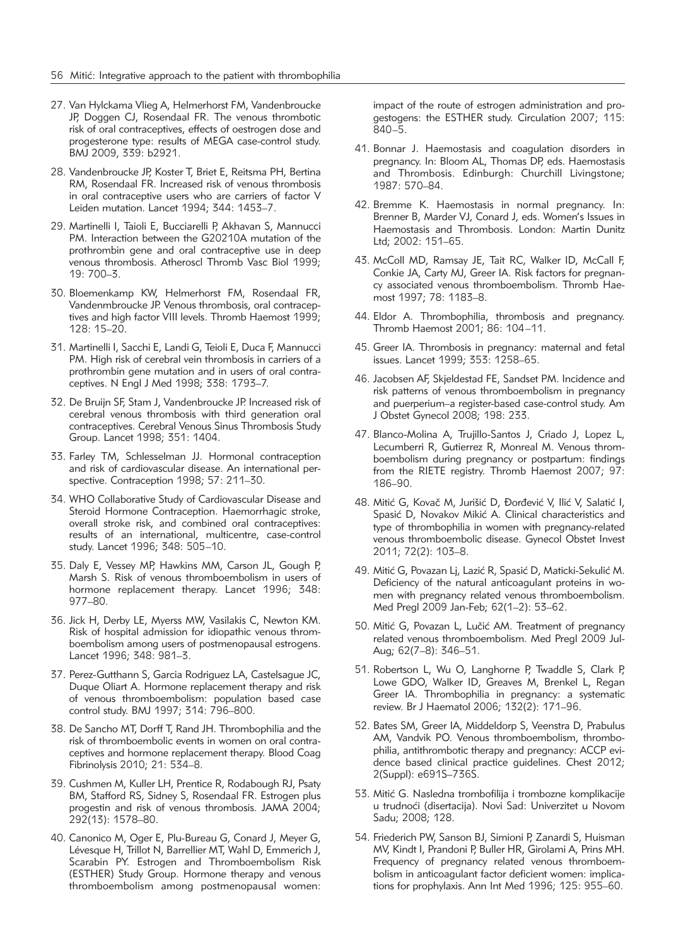- 27. Van Hylckama Vlieg A, Helmerhorst FM, Vandenbroucke JP, Doggen CJ, Rosendaal FR. The venous thrombotic risk of oral contraceptives, effects of oestrogen dose and progesterone type: results of MEGA case-control study. BMJ 2009, 339: b2921.
- 28. Vandenbroucke JP, Koster T, Briet E, Reitsma PH, Bertina RM, Rosendaal FR. Increased risk of venous thrombosis in oral contraceptive users who are carriers of factor V Leiden mutation. Lancet 1994; 344: 1453–7.
- 29. Martinelli I, Taioli E, Bucciarelli P, Akhavan S, Mannucci PM. Interaction between the G20210A mutation of the prothrombin gene and oral contraceptive use in deep venous thrombosis. Atheroscl Thromb Vasc Biol 1999; 19: 700–3.
- 30. Bloemenkamp KW, Helmerhorst FM, Rosendaal FR, Vandenmbroucke JP. Venous thrombosis, oral contraceptives and high factor VIII levels. Thromb Haemost 1999; 128: 15–20.
- 31. Martinelli I, Sacchi E, Landi G, Teioli E, Duca F, Mannucci PM. High risk of cerebral vein thrombosis in carriers of a prothrombin gene mutation and in users of oral contraceptives. N Engl J Med 1998; 338: 1793–7.
- 32. De Bruijn SF, Stam J, Vandenbroucke JP. Increased risk of cerebral venous thrombosis with third generation oral contraceptives. Cerebral Venous Sinus Thrombosis Study Group. Lancet 1998; 351: 1404.
- 33. Farley TM, Schlesselman JJ. Hormonal contraception and risk of cardiovascular disease. An international perspective. Contraception 1998; 57: 211–30.
- 34. WHO Collaborative Study of Cardiovascular Disease and Steroid Hormone Contraception. Haemorrhagic stroke, overall stroke risk, and combined oral contraceptives: results of an international, multicentre, case-control study. Lancet 1996; 348: 505–10.
- 35. Daly E, Vessey MP, Hawkins MM, Carson JL, Gough P, Marsh S. Risk of venous thromboembolism in users of hormone replacement therapy. Lancet 1996; 348: 977–80.
- 36. Jick H, Derby LE, Myerss MW, Vasilakis C, Newton KM. Risk of hospital admission for idiopathic venous thromboembolism among users of postmenopausal estrogens. Lancet 1996; 348: 981–3.
- 37. Perez-Gutthann S, Garcia Rodriguez LA, Castelsague JC, Duque Oliart A. Hormone replacement therapy and risk of venous thromboembolism: population based case control study. BMJ 1997; 314: 796–800.
- 38. De Sancho MT, Dorff T, Rand JH. Thrombophilia and the risk of thromboembolic events in women on oral contraceptives and hormone replacement therapy. Blood Coag Fibrinolysis 2010; 21: 534–8.
- 39. Cushmen M, Kuller LH, Prentice R, Rodabough RJ, Psaty BM, Stafford RS, Sidney S, Rosendaal FR. Estrogen plus progestin and risk of venous thrombosis. JAMA 2004; 292(13): 1578–80.
- 40. Canonico M, Oger E, Plu-Bureau G, Conard J, Meyer G, Lévesque H, Trillot N, Barrellier MT, Wahl D, Emmerich J, Scarabin PY. Estrogen and Thromboembolism Risk (ESTHER) Study Group. Hormone therapy and venous thromboembolism among postmenopausal women:

impact of the route of estrogen administration and progestogens: the ESTHER study. Circulation 2007; 115: 840–5.

- 41. Bonnar J. Haemostasis and coagulation disorders in pregnancy. In: Bloom AL, Thomas DP, eds. Haemostasis and Thrombosis. Edinburgh: Churchill Livingstone; 1987: 570–84.
- 42. Bremme K. Haemostasis in normal pregnancy. In: Brenner B, Marder VJ, Conard J, eds. Women's Issues in Haemostasis and Thrombosis. London: Martin Dunitz Ltd; 2002: 151–65.
- 43. McColl MD, Ramsay JE, Tait RC, Walker ID, McCall F, Conkie JA, Carty MJ, Greer IA. Risk factors for pregnancy associated venous thromboembolism. Thromb Haemost 1997; 78: 1183–8.
- 44. Eldor A. Thrombophilia, thrombosis and pregnancy. Thromb Haemost 2001; 86: 104–11.
- 45. Greer IA. Thrombosis in pregnancy: maternal and fetal issues. Lancet 1999; 353: 1258–65.
- 46. Jacobsen AF, Skjeldestad FE, Sandset PM. Incidence and risk patterns of venous thromboembolism in pregnancy and puerperium–a register-based case-control study. Am J Obstet Gynecol 2008; 198: 233.
- 47. Blanco-Molina A, Trujillo-Santos J, Criado J, Lopez L, Lecumberri R, Gutierrez R, Monreal M. Venous thromboembolism during pregnancy or postpartum: findings from the RIETE registry. Thromb Haemost 2007; 97: 186–90.
- 48. Mitić G, Kovač M, Jurišić D, Đorđević V, Ilić V, Salatić I, Spasić D, Novakov Mikić A. Clinical characteristics and type of thrombophilia in women with pregnancy-related venous thromboembolic disease. Gynecol Obstet Invest 2011; 72(2): 103–8.
- 49. Mitić G, Povazan Lj, Lazić R, Spasić D, Maticki-Sekulić M. Deficiency of the natural anticoagulant proteins in women with pregnancy related venous thromboembolism. Med Pregl 2009 Jan-Feb; 62(1–2): 53–62.
- 50. Mitić G, Povazan L, Lučić AM. Treatment of pregnancy related venous thromboembolism. Med Pregl 2009 Jul-Aug; 62(7–8): 346–51.
- 51. Robertson L, Wu O, Langhorne P, Twaddle S, Clark P, Lowe GDO, Walker ID, Greaves M, Brenkel L, Regan Greer IA. Thrombophilia in pregnancy: a systematic review. Br J Haematol 2006; 132(2): 171–96.
- 52. Bates SM, Greer IA, Middeldorp S, Veenstra D, Prabulus AM, Vandvik PO. Venous thromboembolism, thrombophilia, antithrombotic therapy and pregnancy: ACCP evidence based clinical practice guidelines. Chest 2012; 2(Suppl): e691S–736S.
- 53. Mitić G. Nasledna trombofilija i trombozne komplikacije u trudnoći (disertacija). Novi Sad: Univerzitet u Novom Sadu; 2008; 128.
- 54. Friederich PW, Sanson BJ, Simioni P, Zanardi S, Huisman MV, Kindt I, Prandoni P, Buller HR, Girolami A, Prins MH. Frequency of pregnancy related venous thromboembolism in anticoagulant factor deficient women: implications for prophylaxis. Ann Int Med 1996; 125: 955–60.